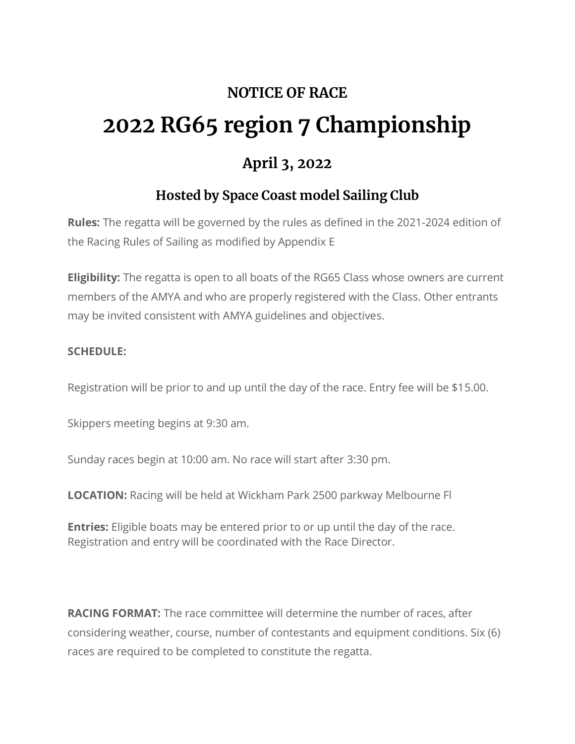## **NOTICE OF RACE 2022 RG65 region 7 Championship**

## **April 3, 2022**

## **Hosted by Space Coast model Sailing Club**

**Rules:** The regatta will be governed by the rules as defined in the 2021-2024 edition of the Racing Rules of Sailing as modified by Appendix E

**Eligibility:** The regatta is open to all boats of the RG65 Class whose owners are current members of the AMYA and who are properly registered with the Class. Other entrants may be invited consistent with AMYA guidelines and objectives.

## **SCHEDULE:**

Registration will be prior to and up until the day of the race. Entry fee will be \$15.00.

Skippers meeting begins at 9:30 am.

Sunday races begin at 10:00 am. No race will start after 3:30 pm.

**LOCATION:** Racing will be held at Wickham Park 2500 parkway Melbourne Fl

**Entries:** Eligible boats may be entered prior to or up until the day of the race. Registration and entry will be coordinated with the Race Director.

**RACING FORMAT:** The race committee will determine the number of races, after considering weather, course, number of contestants and equipment conditions. Six (6) races are required to be completed to constitute the regatta.